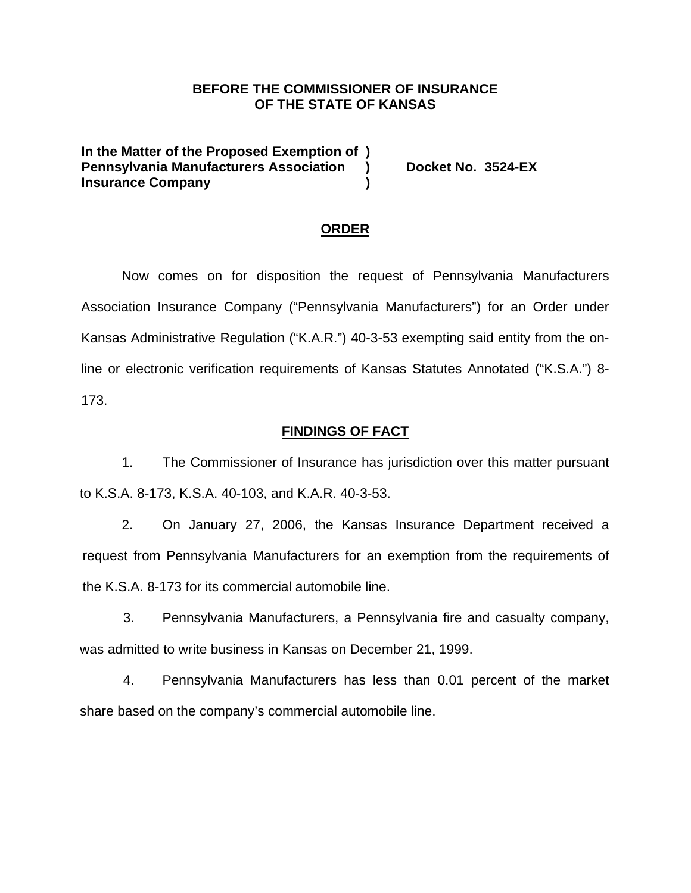### **BEFORE THE COMMISSIONER OF INSURANCE OF THE STATE OF KANSAS**

**In the Matter of the Proposed Exemption of )**  Pennsylvania Manufacturers Association ) Docket No. 3524-EX **Insurance Company**  (1)

#### **ORDER**

Now comes on for disposition the request of Pennsylvania Manufacturers Association Insurance Company ("Pennsylvania Manufacturers") for an Order under Kansas Administrative Regulation ("K.A.R.") 40-3-53 exempting said entity from the online or electronic verification requirements of Kansas Statutes Annotated ("K.S.A.") 8- 173.

#### **FINDINGS OF FACT**

1. The Commissioner of Insurance has jurisdiction over this matter pursuant to K.S.A. 8-173, K.S.A. 40-103, and K.A.R. 40-3-53.

2. On January 27, 2006, the Kansas Insurance Department received a request from Pennsylvania Manufacturers for an exemption from the requirements of the K.S.A. 8-173 for its commercial automobile line.

3. Pennsylvania Manufacturers, a Pennsylvania fire and casualty company, was admitted to write business in Kansas on December 21, 1999.

4. Pennsylvania Manufacturers has less than 0.01 percent of the market share based on the company's commercial automobile line.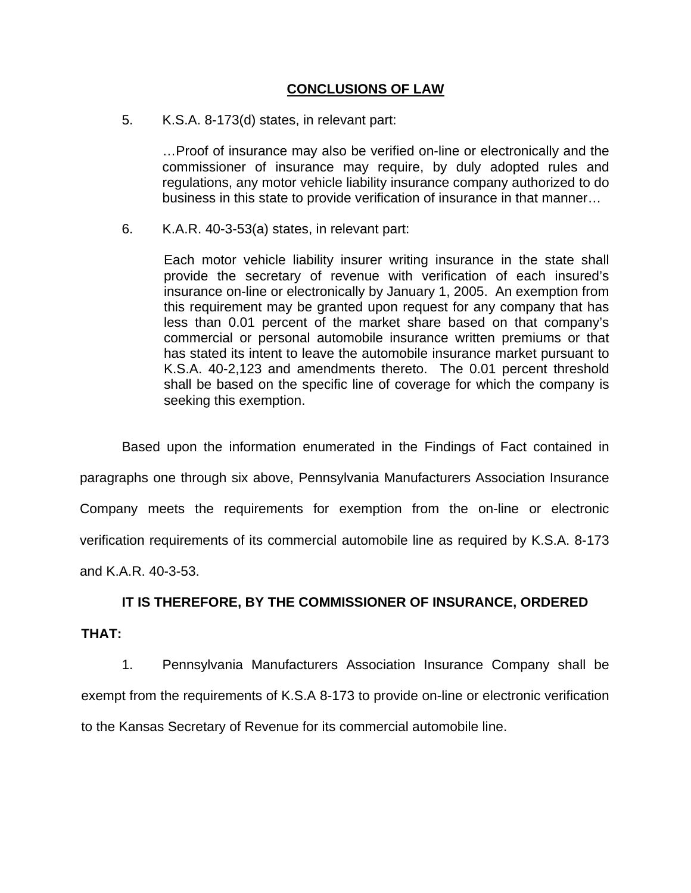## **CONCLUSIONS OF LAW**

5. K.S.A. 8-173(d) states, in relevant part:

…Proof of insurance may also be verified on-line or electronically and the commissioner of insurance may require, by duly adopted rules and regulations, any motor vehicle liability insurance company authorized to do business in this state to provide verification of insurance in that manner…

6. K.A.R. 40-3-53(a) states, in relevant part:

Each motor vehicle liability insurer writing insurance in the state shall provide the secretary of revenue with verification of each insured's insurance on-line or electronically by January 1, 2005. An exemption from this requirement may be granted upon request for any company that has less than 0.01 percent of the market share based on that company's commercial or personal automobile insurance written premiums or that has stated its intent to leave the automobile insurance market pursuant to K.S.A. 40-2,123 and amendments thereto. The 0.01 percent threshold shall be based on the specific line of coverage for which the company is seeking this exemption.

Based upon the information enumerated in the Findings of Fact contained in paragraphs one through six above, Pennsylvania Manufacturers Association Insurance Company meets the requirements for exemption from the on-line or electronic verification requirements of its commercial automobile line as required by K.S.A. 8-173 and K.A.R. 40-3-53.

## **IT IS THEREFORE, BY THE COMMISSIONER OF INSURANCE, ORDERED**

**THAT:** 

1. Pennsylvania Manufacturers Association Insurance Company shall be exempt from the requirements of K.S.A 8-173 to provide on-line or electronic verification to the Kansas Secretary of Revenue for its commercial automobile line.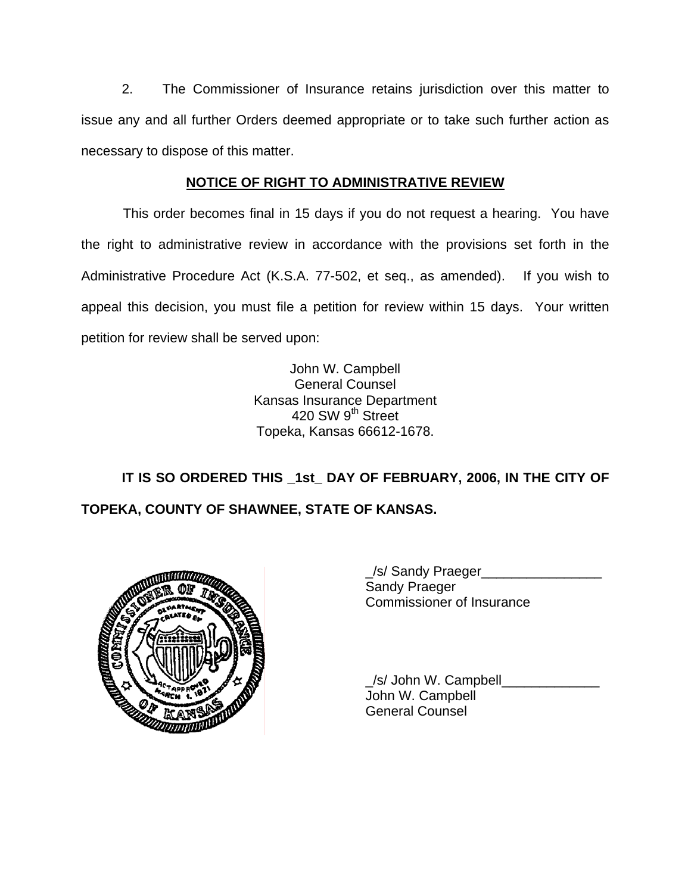2. The Commissioner of Insurance retains jurisdiction over this matter to issue any and all further Orders deemed appropriate or to take such further action as necessary to dispose of this matter.

# **NOTICE OF RIGHT TO ADMINISTRATIVE REVIEW**

This order becomes final in 15 days if you do not request a hearing. You have the right to administrative review in accordance with the provisions set forth in the Administrative Procedure Act (K.S.A. 77-502, et seq., as amended). If you wish to appeal this decision, you must file a petition for review within 15 days. Your written petition for review shall be served upon:

> John W. Campbell General Counsel Kansas Insurance Department 420 SW 9<sup>th</sup> Street Topeka, Kansas 66612-1678.

IT IS SO ORDERED THIS 1st DAY OF FEBRUARY, 2006, IN THE CITY OF **TOPEKA, COUNTY OF SHAWNEE, STATE OF KANSAS.** 



\_/s/ Sandy Praeger\_\_\_\_\_\_\_\_\_\_\_\_\_\_\_\_ Sandy Praeger Commissioner of Insurance

/s/ John W. Campbell John W. Campbell General Counsel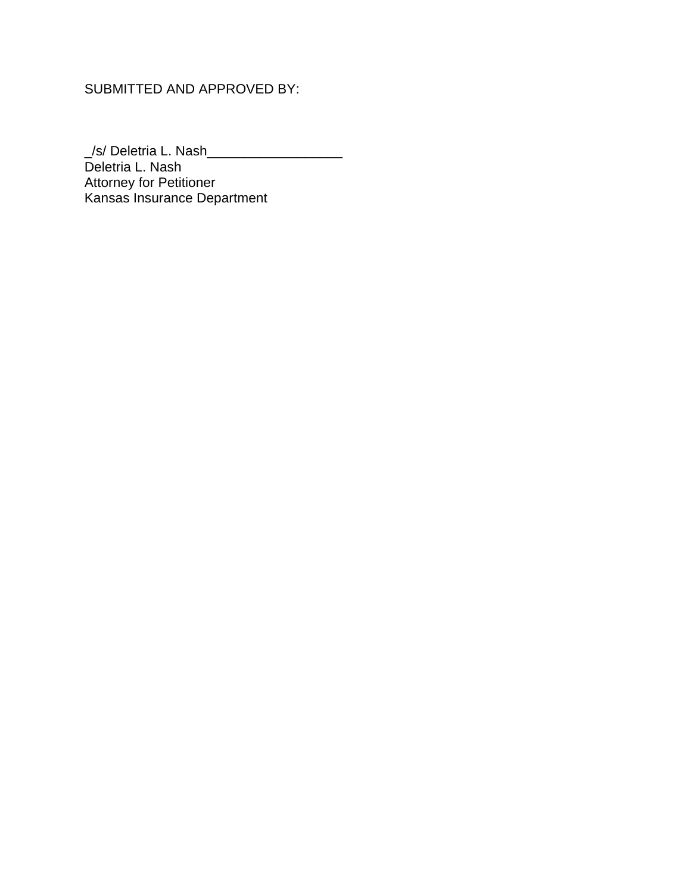# SUBMITTED AND APPROVED BY:

\_/s/ Deletria L. Nash\_\_\_\_\_\_\_\_\_\_\_\_\_\_\_\_\_\_ Deletria L. Nash Attorney for Petitioner Kansas Insurance Department